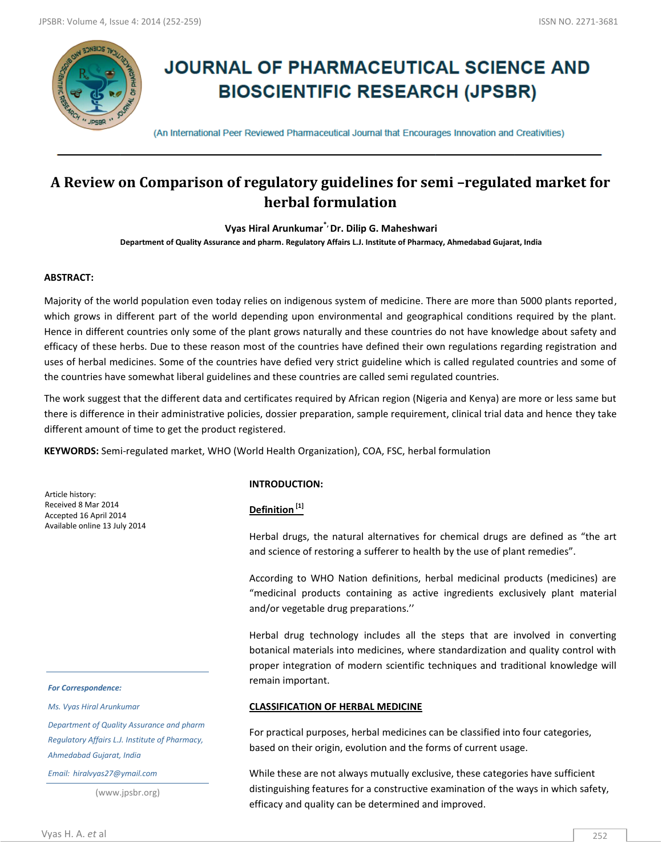

# **JOURNAL OF PHARMACEUTICAL SCIENCE AND BIOSCIENTIFIC RESEARCH (JPSBR)**

(An International Peer Reviewed Pharmaceutical Journal that Encourages Innovation and Creativities)

## **A Review on Comparison of regulatory guidelines for semi –regulated market for herbal formulation**

**Vyas Hiral Arunkumar\*, Dr. Dilip G. Maheshwari**

**Department of Quality Assurance and pharm. Regulatory Affairs L.J. Institute of Pharmacy, Ahmedabad Gujarat, India**

#### **ABSTRACT:**

 Majority of the world population even today relies on indigenous system of medicine. There are more than 5000 plants reported, which grows in different part of the world depending upon environmental and geographical conditions required by the plant. Hence in different countries only some of the plant grows naturally and these countries do not have knowledge about safety and efficacy of these herbs. Due to these reason most of the countries have defined their own regulations regarding registration and uses of herbal medicines. Some of the countries have defied very strict guideline which is called regulated countries and some of the countries have somewhat liberal guidelines and these countries are called semi regulated countries.

 The work suggest that the different data and certificates required by African region (Nigeria and Kenya) are more or less same but there is difference in their administrative policies, dossier preparation, sample requirement, clinical trial data and hence they take different amount of time to get the product registered.

**KEYWORDS:** Semi-regulated market, WHO (World Health Organization), COA, FSC, herbal formulation

Article history: Received 8 Mar 2014 Accepted 16 April 2014 Available online 13 July 2014

#### *For Correspondence:*

*Ms. Vyas Hiral Arunkumar*

*Department of Quality Assurance and pharm Regulatory Affairs L.J. Institute of Pharmacy, Ahmedabad Gujarat, India*

*Email: hiralvyas27@ymail.com*

(www.jpsbr.org)

#### **INTRODUCTION:**

#### **Definition [1]**

 Herbal drugs, the natural alternatives for chemical drugs are defined as "the art and science of restoring a sufferer to health by the use of plant remedies".

 According to WHO Nation definitions, herbal medicinal products (medicines) are "medicinal products containing as active ingredients exclusively plant material and/or vegetable drug preparations.''

 Herbal drug technology includes all the steps that are involved in converting botanical materials into medicines, where standardization and quality control with proper integration of modern scientific techniques and traditional knowledge will remain important.

#### **CLASSIFICATION OF HERBAL MEDICINE**

For practical purposes, herbal medicines can be classified into four categories, based on their origin, evolution and the forms of current usage.

While these are not always mutually exclusive, these categories have sufficient distinguishing features for a constructive examination of the ways in which safety, efficacy and quality can be determined and improved.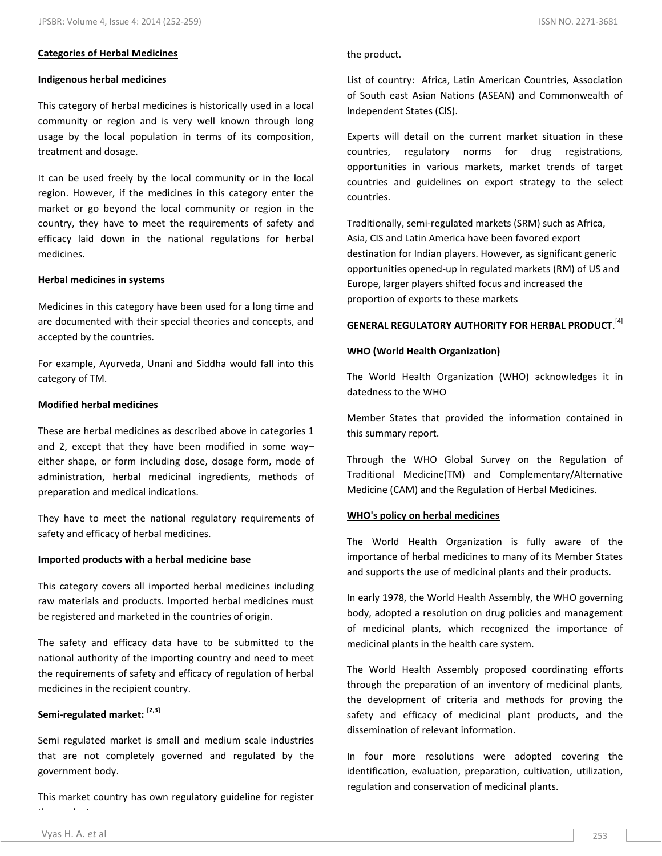#### **Categories of Herbal Medicines**

#### 1. **Indigenous herbal medicines**

 This category of herbal medicines is historically used in a local community or region and is very well known through long usage by the local population in terms of its composition, treatment and dosage.

 It can be used freely by the local community or in the local region. However, if the medicines in this category enter the market or go beyond the local community or region in the country, they have to meet the requirements of safety and efficacy laid down in the national regulations for herbal medicines.

#### 2. **Herbal medicines in systems**

 Medicines in this category have been used for a long time and are documented with their special theories and concepts, and accepted by the countries.

 For example, Ayurveda, Unani and Siddha would fall into this category of TM.

#### 3. **Modified herbal medicines**

 These are herbal medicines as described above in categories 1 and 2, except that they have been modified in some way– either shape, or form including dose, dosage form, mode of administration, herbal medicinal ingredients, methods of preparation and medical indications.

 They have to meet the national regulatory requirements of safety and efficacy of herbal medicines.

#### 4. **Imported products with a herbal medicine base**

 This category covers all imported herbal medicines including raw materials and products. Imported herbal medicines must be registered and marketed in the countries of origin.

 The safety and efficacy data have to be submitted to the national authority of the importing country and need to meet the requirements of safety and efficacy of regulation of herbal medicines in the recipient country.

## **Semi-regulated market: [2,3]**

 Semi regulated market is small and medium scale industries that are not completely governed and regulated by the government body.

 This market country has own regulatory guideline for register the product.

 List of country: Africa, Latin American Countries, Association of South east Asian Nations (ASEAN) and Commonwealth of Independent States (CIS).

 Experts will detail on the current market situation in these countries, regulatory norms for drug registrations, opportunities in various markets, market trends of target countries and guidelines on export strategy to the select countries.

Traditionally, semi-regulated markets (SRM) such as Africa, Asia, CIS and Latin America have been favored export destination for Indian players. However, as significant generic opportunities opened-up in regulated markets (RM) of US and Europe, larger players shifted focus and increased the proportion of exports to these markets

## **GENERAL REGULATORY AUTHORITY FOR HERBAL PRODUCT.** [4]

#### **WHO (World Health Organization)**

The World Health Organization (WHO) acknowledges it in datedness to the WHO

Member States that provided the information contained in this summary report.

Through the WHO Global Survey on the Regulation of Traditional Medicine(TM) and Complementary/Alternative Medicine (CAM) and the Regulation of Herbal Medicines.

#### **WHO's policy on herbal medicines**

 The World Health Organization is fully aware of the importance of herbal medicines to many of its Member States and supports the use of medicinal plants and their products.

 In early 1978, the World Health Assembly, the WHO governing body, adopted a resolution on drug policies and management of medicinal plants, which recognized the importance of medicinal plants in the health care system.

 The World Health Assembly proposed coordinating efforts through the preparation of an inventory of medicinal plants, the development of criteria and methods for proving the safety and efficacy of medicinal plant products, and the dissemination of relevant information.

 In four more resolutions were adopted covering the identification, evaluation, preparation, cultivation, utilization, regulation and conservation of medicinal plants.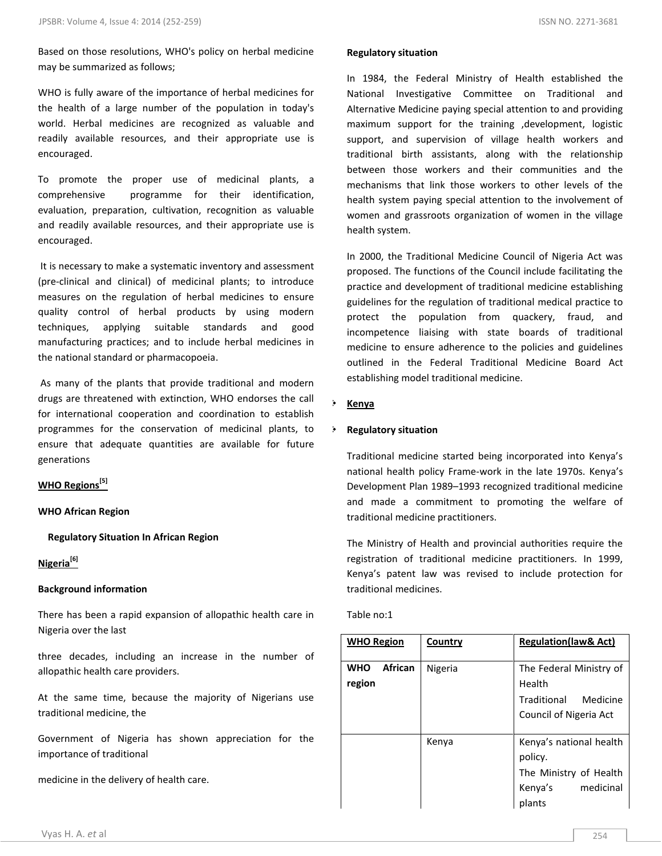Based on those resolutions, WHO's policy on herbal medicine may be summarized as follows;

WHO is fully aware of the importance of herbal medicines for the health of a large number of the population in today's world. Herbal medicines are recognized as valuable and readily available resources, and their appropriate use is encouraged.

To promote the proper use of medicinal plants, a comprehensive programme for their identification, evaluation, preparation, cultivation, recognition as valuable and readily available resources, and their appropriate use is encouraged.

It is necessary to make a systematic inventory and assessment (pre-clinical and clinical) of medicinal plants; to introduce measures on the regulation of herbal medicines to ensure quality control of herbal products by using modern techniques, applying suitable standards and good manufacturing practices; and to include herbal medicines in the national standard or pharmacopoeia.

**5.** As many of the plants that provide traditional and modern drugs are threatened with extinction, WHO endorses the call for international cooperation and coordination to establish programmes for the conservation of medicinal plants, to ensure that adequate quantities are available for future generations

## **WHO Regions[5]**

#### **WHO African Region**

 **Regulatory Situation In African Region**

## **Nigeria[6]**

#### **Background information**

There has been a rapid expansion of allopathic health care in Nigeria over the last

three decades, including an increase in the number of allopathic health care providers.

At the same time, because the majority of Nigerians use traditional medicine, the

Government of Nigeria has shown appreciation for the importance of traditional

medicine in the delivery of health care.

#### **Regulatory situation**

In 1984, the Federal Ministry of Health established the National Investigative Committee on Traditional and Alternative Medicine paying special attention to and providing maximum support for the training ,development, logistic support, and supervision of village health workers and traditional birth assistants, along with the relationship between those workers and their communities and the mechanisms that link those workers to other levels of the health system paying special attention to the involvement of women and grassroots organization of women in the village health system.

In 2000, the Traditional Medicine Council of Nigeria Act was proposed. The functions of the Council include facilitating the practice and development of traditional medicine establishing guidelines for the regulation of traditional medical practice to protect the population from quackery, fraud, and incompetence liaising with state boards of traditional medicine to ensure adherence to the policies and guidelines outlined in the Federal Traditional Medicine Board Act establishing model traditional medicine.

#### **Kenya**

#### **Regulatory situation**

 Traditional medicine started being incorporated into Kenya's national health policy Frame-work in the late 1970s. Kenya's Development Plan 1989–1993 recognized traditional medicine and made a commitment to promoting the welfare of traditional medicine practitioners.

 The Ministry of Health and provincial authorities require the registration of traditional medicine practitioners. In 1999, Kenya's patent law was revised to include protection for traditional medicines.

## Table no:1

| <b>WHO Region</b>                      | Country | <b>Regulation(law&amp; Act)</b>                                                                |
|----------------------------------------|---------|------------------------------------------------------------------------------------------------|
| <b>African</b><br><b>WHO</b><br>region | Nigeria | The Federal Ministry of<br>Health<br>Traditional<br>Medicine<br>Council of Nigeria Act         |
|                                        | Kenya   | Kenya's national health<br>policy.<br>The Ministry of Health<br>medicinal<br>Kenya's<br>plants |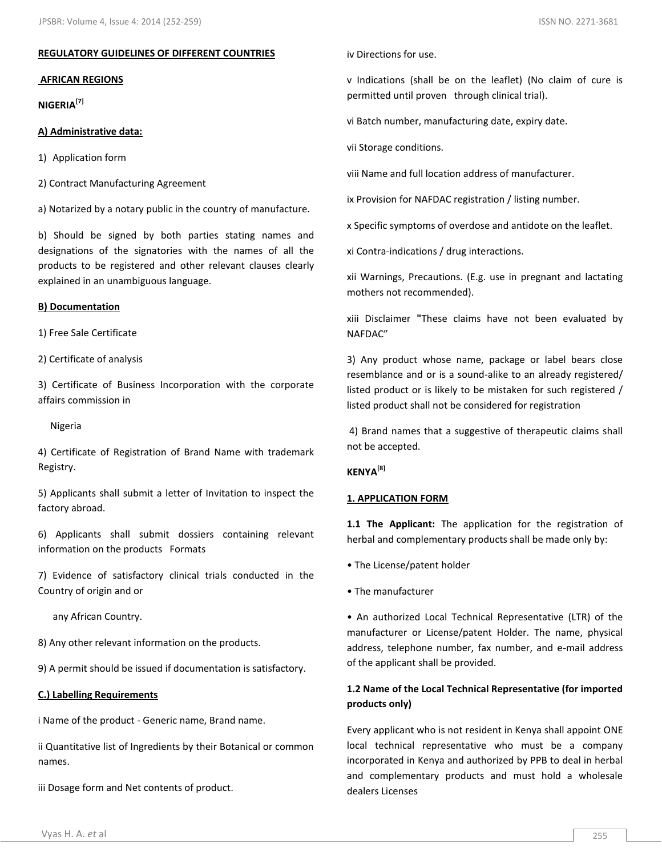#### **REGULATORY GUIDELINES OF DIFFERENT COUNTRIES**

#### **AFRICAN REGIONS**

**1) NIGERIA[7]**

#### **A) Administrative data:**

1) Application form

2) Contract Manufacturing Agreement

a) Notarized by a notary public in the country of manufacture.

b) Should be signed by both parties stating names and designations of the signatories with the names of all the products to be registered and other relevant clauses clearly explained in an unambiguous language.

#### **B) Documentation**

1) Free Sale Certificate

2) Certificate of analysis

3) Certificate of Business Incorporation with the corporate affairs commission in

Nigeria

4) Certificate of Registration of Brand Name with trademark Registry.

5) Applicants shall submit a letter of Invitation to inspect the factory abroad.

6) Applicants shall submit dossiers containing relevant information on the products Formats

7) Evidence of satisfactory clinical trials conducted in the Country of origin and or

any African Country.

8) Any other relevant information on the products.

9) A permit should be issued if documentation is satisfactory.

## **C.) Labelling Requirements**

i Name of the product - Generic name, Brand name.

ii Quantitative list of Ingredients by their Botanical or common names.

iii Dosage form and Net contents of product.

iv Directions for use.

v Indications (shall be on the leaflet) (No claim of cure is permitted until proven through clinical trial).

vi Batch number, manufacturing date, expiry date.

vii Storage conditions.

viii Name and full location address of manufacturer.

ix Provision for NAFDAC registration / listing number.

x Specific symptoms of overdose and antidote on the leaflet.

xi Contra-indications / drug interactions.

xii Warnings, Precautions. (E.g. use in pregnant and lactating mothers not recommended).

xiii Disclaimer **"**These claims have not been evaluated by NAFDAC"

3) Any product whose name, package or label bears close resemblance and or is a sound-alike to an already registered/ listed product or is likely to be mistaken for such registered / listed product shall not be considered for registration

4) Brand names that a suggestive of therapeutic claims shall not be accepted.

## **2) KENYA[8]**

#### **1. APPLICATION FORM**

**1.1 The Applicant:** The application for the registration of herbal and complementary products shall be made only by:

• The License/patent holder

• The manufacturer

• An authorized Local Technical Representative (LTR) of the manufacturer or License/patent Holder. The name, physical address, telephone number, fax number, and e-mail address of the applicant shall be provided.

## **1.2 Name of the Local Technical Representative (for imported products only)**

Every applicant who is not resident in Kenya shall appoint ONE local technical representative who must be a company incorporated in Kenya and authorized by PPB to deal in herbal and complementary products and must hold a wholesale dealers Licenses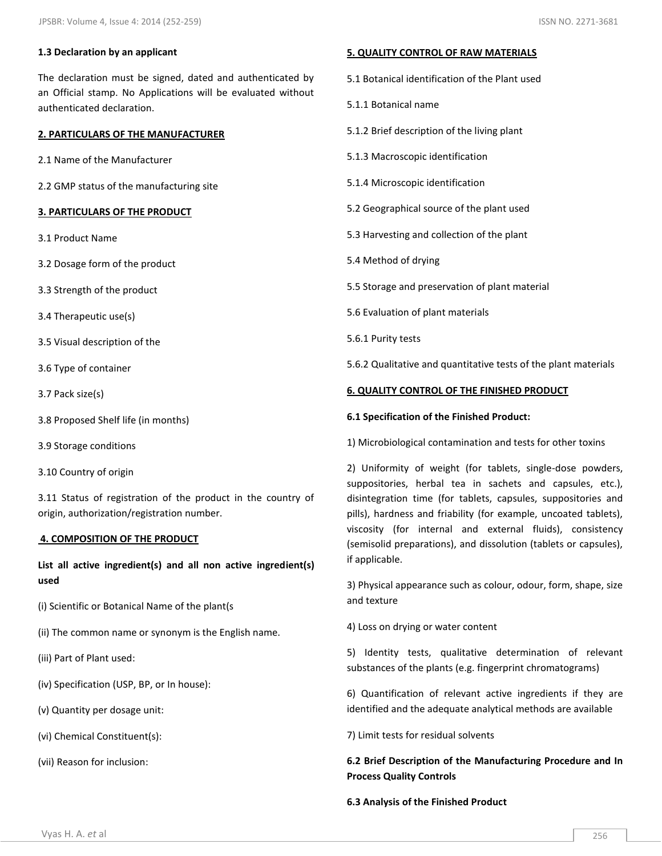## **1.3 Declaration by an applicant**

The declaration must be signed, dated and authenticated by an Official stamp. No Applications will be evaluated without authenticated declaration.

## **2. PARTICULARS OF THE MANUFACTURER**

2.1 Name of the Manufacturer

2.2 GMP status of the manufacturing site

## **3. PARTICULARS OF THE PRODUCT**

- 3.1 Product Name
- 3.2 Dosage form of the product
- 3.3 Strength of the product
- 3.4 Therapeutic use(s)
- 3.5 Visual description of the
- 3.6 Type of container
- 3.7 Pack size(s)
- 3.8 Proposed Shelf life (in months)
- 3.9 Storage conditions
- 3.10 Country of origin

3.11 Status of registration of the product in the country of origin, authorization/registration number.

#### **4. COMPOSITION OF THE PRODUCT**

**List all active ingredient(s) and all non active ingredient(s) used**

- (i) Scientific or Botanical Name of the plant(s
- (ii) The common name or synonym is the English name.
- (iii) Part of Plant used:
- (iv) Specification (USP, BP, or In house):
- (v) Quantity per dosage unit:
- (vi) Chemical Constituent(s):

(vii) Reason for inclusion:

#### **5. QUALITY CONTROL OF RAW MATERIALS**

- 5.1 Botanical identification of the Plant used
- 5.1.1 Botanical name
- 5.1.2 Brief description of the living plant
- 5.1.3 Macroscopic identification
- 5.1.4 Microscopic identification
- 5.2 Geographical source of the plant used
- 5.3 Harvesting and collection of the plant
- 5.4 Method of drying
- 5.5 Storage and preservation of plant material
- 5.6 Evaluation of plant materials
- 5.6.1 Purity tests

5.6.2 Qualitative and quantitative tests of the plant materials

#### **6. QUALITY CONTROL OF THE FINISHED PRODUCT**

#### **6.1 Specification of the Finished Product:**

1) Microbiological contamination and tests for other toxins

2) Uniformity of weight (for tablets, single-dose powders, suppositories, herbal tea in sachets and capsules, etc.), disintegration time (for tablets, capsules, suppositories and pills), hardness and friability (for example, uncoated tablets), viscosity (for internal and external fluids), consistency (semisolid preparations), and dissolution (tablets or capsules), if applicable.

3) Physical appearance such as colour, odour, form, shape, size and texture

4) Loss on drying or water content

5) Identity tests, qualitative determination of relevant substances of the plants (e.g. fingerprint chromatograms)

6) Quantification of relevant active ingredients if they are identified and the adequate analytical methods are available

7) Limit tests for residual solvents

## **6.2 Brief Description of the Manufacturing Procedure and In Process Quality Controls**

**6.3 Analysis of the Finished Product**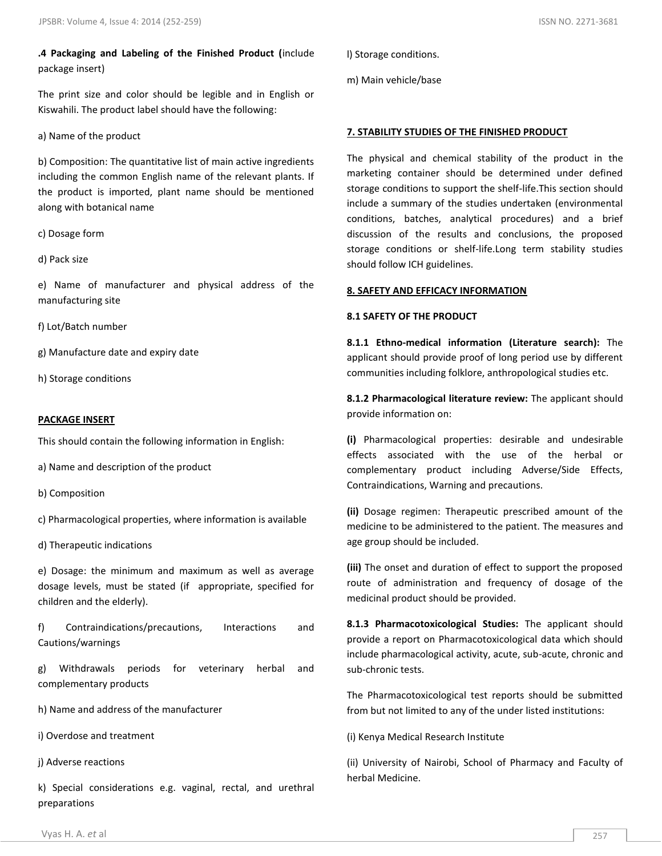**.4 Packaging and Labeling of the Finished Product (**include package insert)

The print size and color should be legible and in English or Kiswahili. The product label should have the following:

a) Name of the product

b) Composition: The quantitative list of main active ingredients including the common English name of the relevant plants. If the product is imported, plant name should be mentioned along with botanical name

c) Dosage form

d) Pack size

e) Name of manufacturer and physical address of the manufacturing site

f) Lot/Batch number

g) Manufacture date and expiry date

h) Storage conditions

#### **PACKAGE INSERT**

This should contain the following information in English:

a) Name and description of the product

b) Composition

c) Pharmacological properties, where information is available

d) Therapeutic indications

e) Dosage: the minimum and maximum as well as average dosage levels, must be stated (if appropriate, specified for children and the elderly).

f) Contraindications/precautions, Interactions and Cautions/warnings

g) Withdrawals periods for veterinary herbal and complementary products

h) Name and address of the manufacturer

i) Overdose and treatment

j) Adverse reactions

k) Special considerations e.g. vaginal, rectal, and urethral preparations

m) Main vehicle/base

#### **7. STABILITY STUDIES OF THE FINISHED PRODUCT**

The physical and chemical stability of the product in the marketing container should be determined under defined storage conditions to support the shelf-life.This section should include a summary of the studies undertaken (environmental conditions, batches, analytical procedures) and a brief discussion of the results and conclusions, the proposed storage conditions or shelf-life.Long term stability studies should follow ICH guidelines.

#### **8. SAFETY AND EFFICACY INFORMATION**

#### **8.1 SAFETY OF THE PRODUCT**

**8.1.1 Ethno-medical information (Literature search):** The applicant should provide proof of long period use by different communities including folklore, anthropological studies etc.

**8.1.2 Pharmacological literature review:** The applicant should provide information on:

**(i)** Pharmacological properties: desirable and undesirable effects associated with the use of the herbal or complementary product including Adverse/Side Effects, Contraindications, Warning and precautions.

**(ii)** Dosage regimen: Therapeutic prescribed amount of the medicine to be administered to the patient. The measures and age group should be included.

**(iii)** The onset and duration of effect to support the proposed route of administration and frequency of dosage of the medicinal product should be provided.

**8.1.3 Pharmacotoxicological Studies:** The applicant should provide a report on Pharmacotoxicological data which should include pharmacological activity, acute, sub-acute, chronic and sub-chronic tests.

The Pharmacotoxicological test reports should be submitted from but not limited to any of the under listed institutions:

(i) Kenya Medical Research Institute

(ii) University of Nairobi, School of Pharmacy and Faculty of herbal Medicine.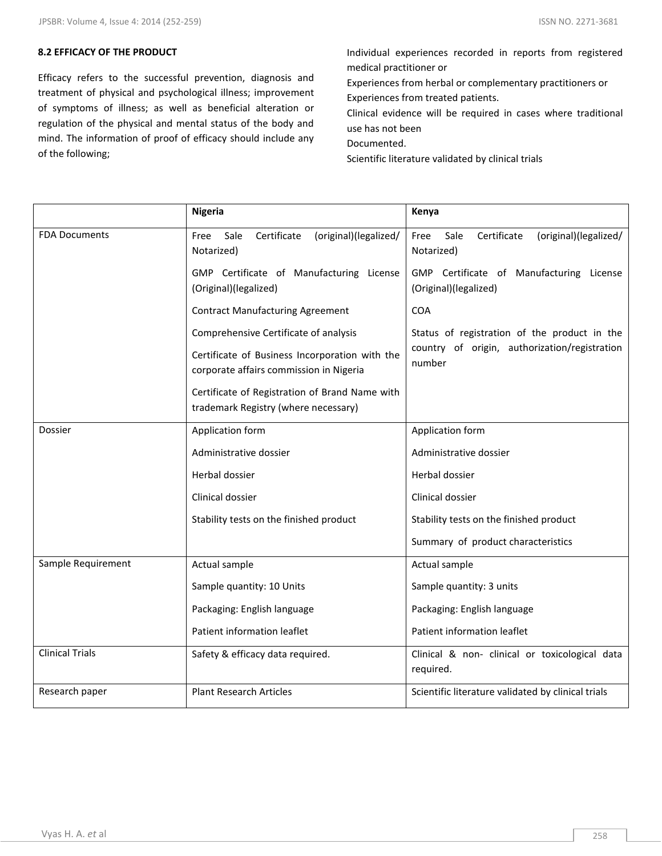#### **8.2 EFFICACY OF THE PRODUCT**

Efficacy refers to the successful prevention, diagnosis and treatment of physical and psychological illness; improvement of symptoms of illness; as well as beneficial alteration or regulation of the physical and mental status of the body and mind. The information of proof of efficacy should include any of the following;

Individual experiences recorded in reports from registered medical practitioner or Experiences from herbal or complementary practitioners or Experiences from treated patients.

Clinical evidence will be required in cases where traditional use has not been

Documented.

Scientific literature validated by clinical trials

|                        | <b>Nigeria</b>                                                                            | Kenya                                                              |
|------------------------|-------------------------------------------------------------------------------------------|--------------------------------------------------------------------|
| <b>FDA Documents</b>   | Sale<br>Certificate<br>(original)(legalized/<br>Free<br>Notarized)                        | Sale<br>Certificate<br>(original)(legalized/<br>Free<br>Notarized) |
|                        | GMP Certificate of Manufacturing License<br>(Original)(legalized)                         | GMP Certificate of Manufacturing License<br>(Original)(legalized)  |
|                        | <b>Contract Manufacturing Agreement</b>                                                   | <b>COA</b>                                                         |
|                        | Comprehensive Certificate of analysis                                                     | Status of registration of the product in the                       |
|                        | Certificate of Business Incorporation with the<br>corporate affairs commission in Nigeria | country of origin, authorization/registration<br>number            |
|                        | Certificate of Registration of Brand Name with<br>trademark Registry (where necessary)    |                                                                    |
| <b>Dossier</b>         | Application form                                                                          | Application form                                                   |
|                        | Administrative dossier                                                                    | Administrative dossier                                             |
|                        | Herbal dossier                                                                            | Herbal dossier                                                     |
|                        | Clinical dossier                                                                          | Clinical dossier                                                   |
|                        | Stability tests on the finished product                                                   | Stability tests on the finished product                            |
|                        |                                                                                           | Summary of product characteristics                                 |
| Sample Requirement     | Actual sample                                                                             | Actual sample                                                      |
|                        | Sample quantity: 10 Units                                                                 | Sample quantity: 3 units                                           |
|                        | Packaging: English language                                                               | Packaging: English language                                        |
|                        | Patient information leaflet                                                               | Patient information leaflet                                        |
| <b>Clinical Trials</b> | Safety & efficacy data required.                                                          | Clinical & non- clinical or toxicological data<br>required.        |
| Research paper         | <b>Plant Research Articles</b>                                                            | Scientific literature validated by clinical trials                 |